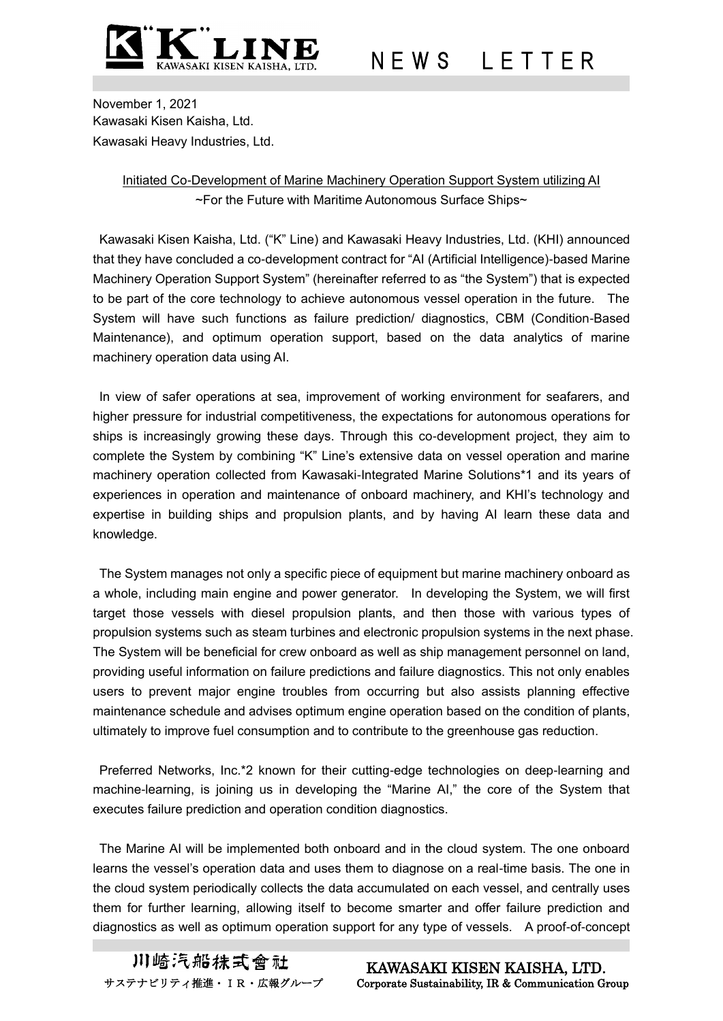

N E W S L E T T E R

November 1, 2021 Kawasaki Kisen Kaisha, Ltd. Kawasaki Heavy Industries, Ltd.

## Initiated Co-Development of Marine Machinery Operation Support System utilizing AI ~For the Future with Maritime Autonomous Surface Ships~

Kawasaki Kisen Kaisha, Ltd. ("K" Line) and Kawasaki Heavy Industries, Ltd. (KHI) announced that they have concluded a co-development contract for "AI (Artificial Intelligence)-based Marine Machinery Operation Support System" (hereinafter referred to as "the System") that is expected to be part of the core technology to achieve autonomous vessel operation in the future. The System will have such functions as failure prediction/ diagnostics, CBM (Condition-Based Maintenance), and optimum operation support, based on the data analytics of marine machinery operation data using AI.

In view of safer operations at sea, improvement of working environment for seafarers, and higher pressure for industrial competitiveness, the expectations for autonomous operations for ships is increasingly growing these days. Through this co-development project, they aim to complete the System by combining "K" Line's extensive data on vessel operation and marine machinery operation collected from Kawasaki-Integrated Marine Solutions\*1 and its years of experiences in operation and maintenance of onboard machinery, and KHI's technology and expertise in building ships and propulsion plants, and by having AI learn these data and knowledge.

The System manages not only a specific piece of equipment but marine machinery onboard as a whole, including main engine and power generator. In developing the System, we will first target those vessels with diesel propulsion plants, and then those with various types of propulsion systems such as steam turbines and electronic propulsion systems in the next phase. The System will be beneficial for crew onboard as well as ship management personnel on land, providing useful information on failure predictions and failure diagnostics. This not only enables users to prevent major engine troubles from occurring but also assists planning effective maintenance schedule and advises optimum engine operation based on the condition of plants, ultimately to improve fuel consumption and to contribute to the greenhouse gas reduction.

Preferred Networks, Inc.\*2 known for their cutting-edge technologies on deep-learning and machine-learning, is joining us in developing the "Marine AI," the core of the System that executes failure prediction and operation condition diagnostics.

The Marine AI will be implemented both onboard and in the cloud system. The one onboard learns the vessel's operation data and uses them to diagnose on a real-time basis. The one in the cloud system periodically collects the data accumulated on each vessel, and centrally uses them for further learning, allowing itself to become smarter and offer failure prediction and diagnostics as well as optimum operation support for any type of vessels. A proof-of-concept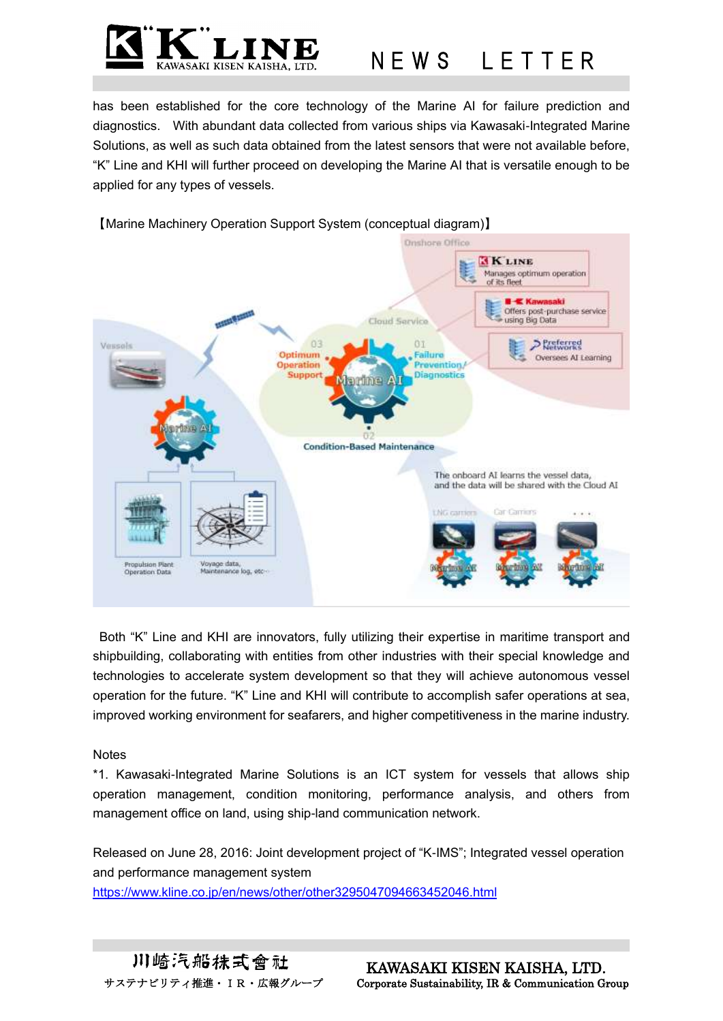

## N E W S L E T T E R

has been established for the core technology of the Marine AI for failure prediction and diagnostics. With abundant data collected from various ships via Kawasaki-Integrated Marine Solutions, as well as such data obtained from the latest sensors that were not available before, "K" Line and KHI will further proceed on developing the Marine AI that is versatile enough to be applied for any types of vessels.





Both "K" Line and KHI are innovators, fully utilizing their expertise in maritime transport and shipbuilding, collaborating with entities from other industries with their special knowledge and technologies to accelerate system development so that they will achieve autonomous vessel operation for the future. "K" Line and KHI will contribute to accomplish safer operations at sea, improved working environment for seafarers, and higher competitiveness in the marine industry.

## **Notes**

\*1. Kawasaki-Integrated Marine Solutions is an ICT system for vessels that allows ship operation management, condition monitoring, performance analysis, and others from management office on land, using ship-land communication network.

Released on June 28, 2016: Joint development project of "K-IMS"; Integrated vessel operation and performance management system <https://www.kline.co.jp/en/news/other/other3295047094663452046.html>